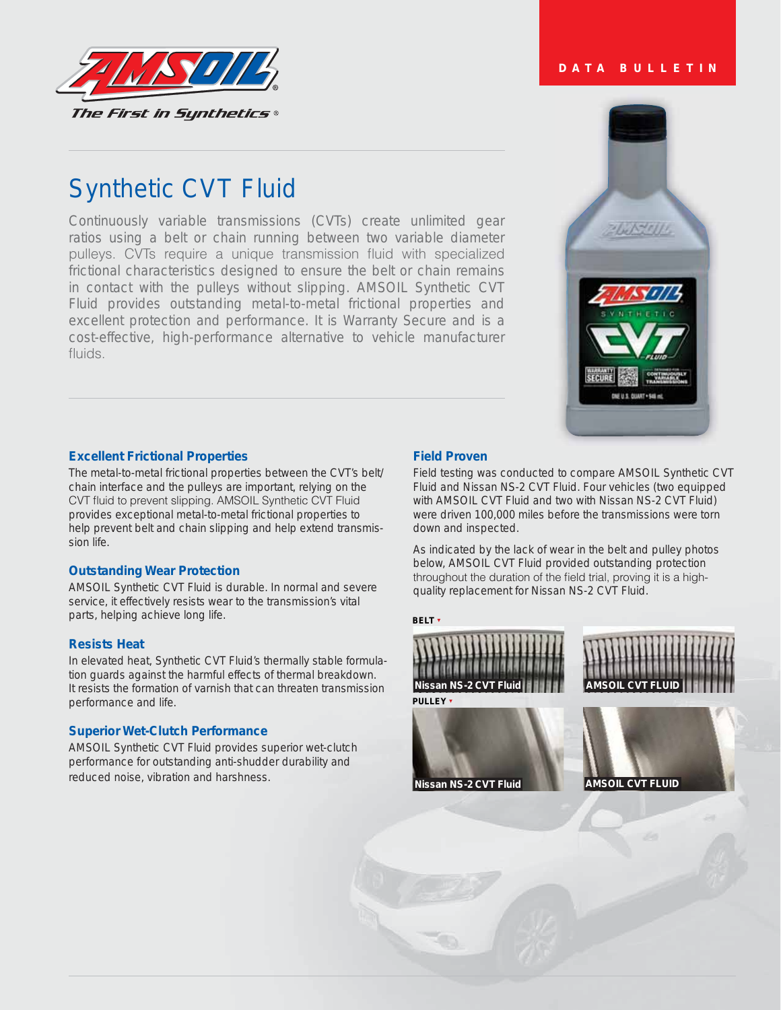

# Synthetic CVT Fluid

Continuously variable transmissions (CVTs) create unlimited gear ratios using a belt or chain running between two variable diameter pulleys. CVTs require a unique transmission fluid with specialized frictional characteristics designed to ensure the belt or chain remains in contact with the pulleys without slipping. AMSOIL Synthetic CVT Fluid provides outstanding metal-to-metal frictional properties and excellent protection and performance. It is Warranty Secure and is a cost-effective, high-performance alternative to vehicle manufacturer  $flux<sub>l</sub>$ 

# $168 - 101$ DNE U.S. DUART . S46 m

**DATA BULLETIN**

# **Excellent Frictional Properties**

The metal-to-metal frictional properties between the CVT's belt/ chain interface and the pulleys are important, relying on the CVT fluid to prevent slipping. AMSOIL Synthetic CVT Fluid provides exceptional metal-to-metal frictional properties to help prevent belt and chain slipping and help extend transmission life.

# **Outstanding Wear Protection**

AMSOIL Synthetic CVT Fluid is durable. In normal and severe service, it effectively resists wear to the transmission's vital parts, helping achieve long life.

# **Resists Heat**

In elevated heat, Synthetic CVT Fluid's thermally stable formulation guards against the harmful effects of thermal breakdown. It resists the formation of varnish that can threaten transmission performance and life.

# **Superior Wet-Clutch Performance**

AMSOIL Synthetic CVT Fluid provides superior wet-clutch performance for outstanding anti-shudder durability and reduced noise, vibration and harshness.

### **Field Proven**

Field testing was conducted to compare AMSOIL Synthetic CVT Fluid and Nissan NS-2 CVT Fluid. Four vehicles (two equipped with AMSOIL CVT Fluid and two with Nissan NS-2 CVT Fluid) were driven 100,000 miles before the transmissions were torn down and inspected.

As indicated by the lack of wear in the belt and pulley photos below, AMSOIL CVT Fluid provided outstanding protection throughout the duration of the field trial, proving it is a highquality replacement for Nissan NS-2 CVT Fluid.

**BELT**<sup></sup>





**PULLEY**